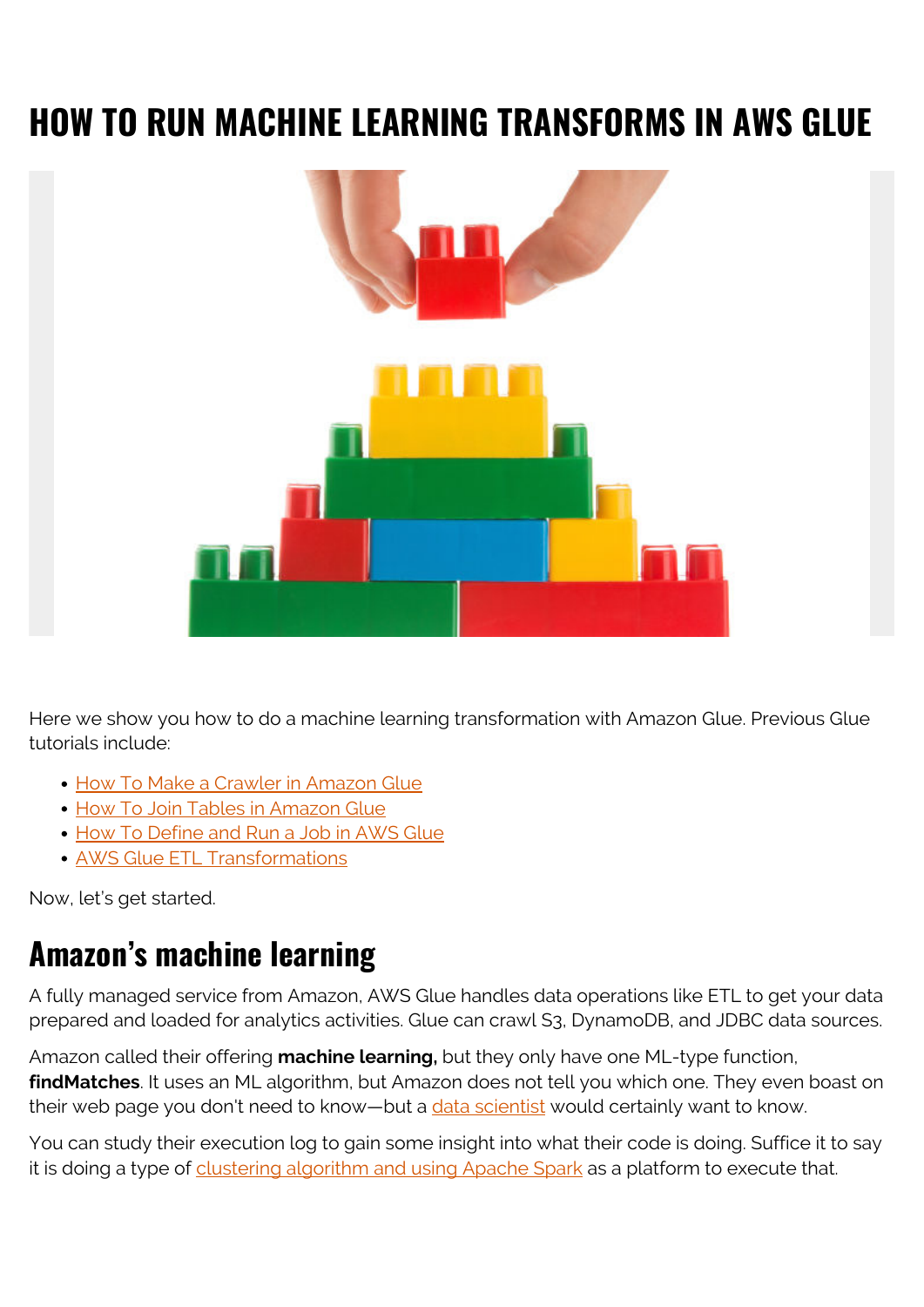# **HOW TO RUN MACHINE LEARNING TRANSFORMS IN AWS GLUE**



Here we show you how to do a machine learning transformation with Amazon Glue. Previous Glue tutorials include:

- [How To Make a Crawler in Amazon Glue](https://blogs.bmc.com/blogs/amazon-glue-crawler/)
- [How To Join Tables in Amazon Glue](https://blogs.bmc.com/blogs/amazon-glue-join-tables/)
- [How To Define and Run a Job in AWS Glue](https://blogs.bmc.com/blogs/aws-glue-run-jobs/)
- [AWS Glue ETL Transformations](https://blogs.bmc.com/blogs/aws-glue-etl-transformations/)

Now, let's get started.

#### **Amazon's machine learning**

A fully managed service from Amazon, AWS Glue handles data operations like ETL to get your data prepared and loaded for analytics activities. Glue can crawl S3, DynamoDB, and JDBC data sources.

Amazon called their offering **machine learning,** but they only have one ML-type function, **findMatches**. It uses an ML algorithm, but Amazon does not tell you which one. They even boast on their web page you don't need to know—but a [data scientist](https://blogs.bmc.com/blogs/data-engineer-vs-data-scientist/) would certainly want to know.

You can study their execution log to gain some insight into what their code is doing. Suffice it to say it is doing a type of [clustering algorithm and using Apache Spark](https://blogs.bmc.com/blogs/k-means-clustering-apache-spark/) as a platform to execute that.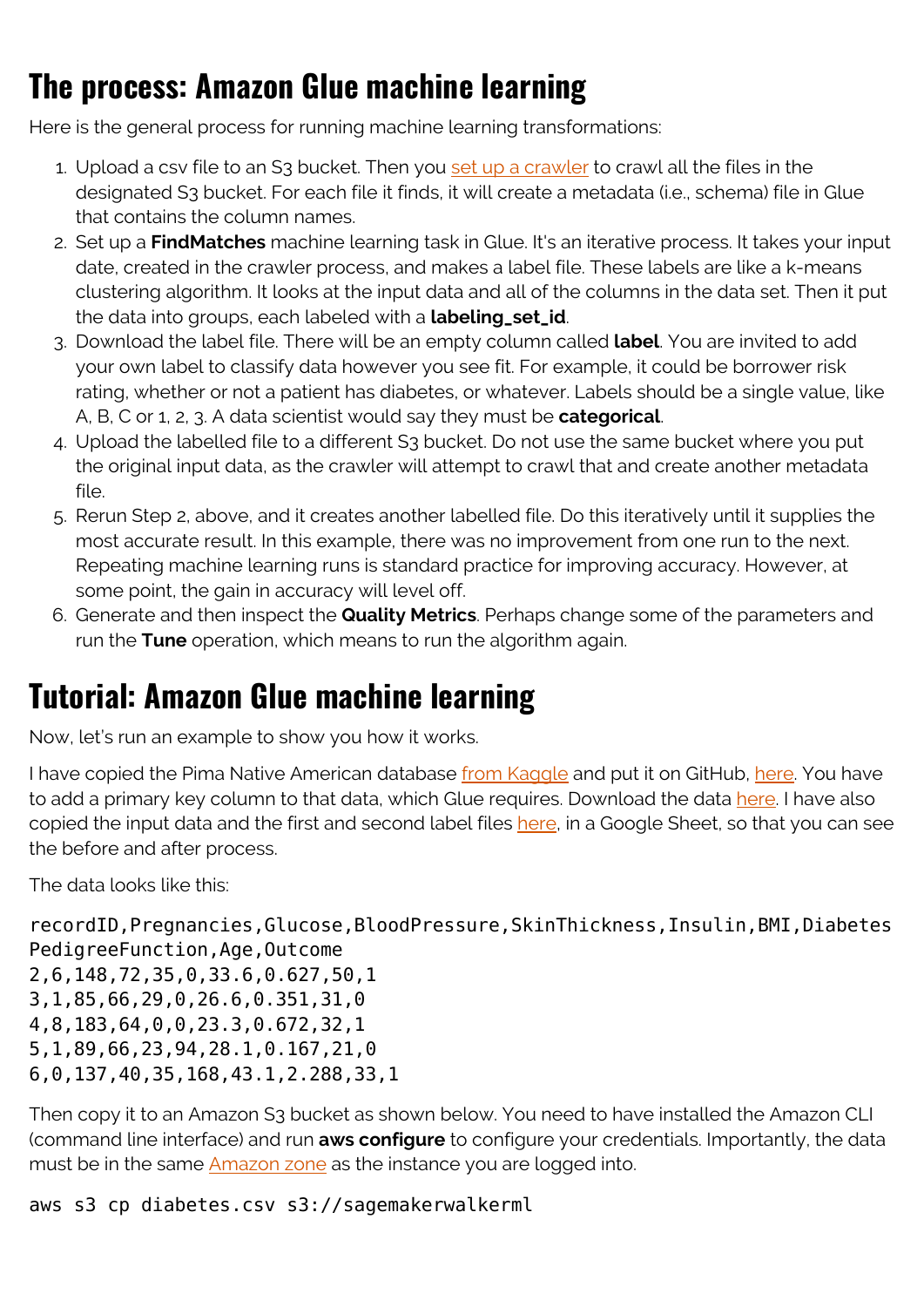#### **The process: Amazon Glue machine learning**

Here is the general process for running machine learning transformations:

- 1. Upload a csv file to an S3 bucket. Then you [set up a crawler](https://blogs.bmc.com/blogs/amazon-glue-crawler/) to crawl all the files in the designated S3 bucket. For each file it finds, it will create a metadata (i.e., schema) file in Glue that contains the column names.
- 2. Set up a **FindMatches** machine learning task in Glue. It's an iterative process. It takes your input date, created in the crawler process, and makes a label file. These labels are like a k-means clustering algorithm. It looks at the input data and all of the columns in the data set. Then it put the data into groups, each labeled with a **labeling\_set\_id**.
- 3. Download the label file. There will be an empty column called **label**. You are invited to add your own label to classify data however you see fit. For example, it could be borrower risk rating, whether or not a patient has diabetes, or whatever. Labels should be a single value, like A, B, C or 1, 2, 3. A data scientist would say they must be **categorical**.
- 4. Upload the labelled file to a different S3 bucket. Do not use the same bucket where you put the original input data, as the crawler will attempt to crawl that and create another metadata file.
- 5. Rerun Step 2, above, and it creates another labelled file. Do this iteratively until it supplies the most accurate result. In this example, there was no improvement from one run to the next. Repeating machine learning runs is standard practice for improving accuracy. However, at some point, the gain in accuracy will level off.
- 6. Generate and then inspect the **Quality Metrics**. Perhaps change some of the parameters and run the **Tune** operation, which means to run the algorithm again.

### **Tutorial: Amazon Glue machine learning**

Now, let's run an example to show you how it works.

I have copied the Pima Native American database [from Kaggle](https://www.kaggle.com/uciml/pima-indians-diabetes-database) and put it on GitHub, [here.](https://raw.githubusercontent.com/werowe/glue/master/diabetes.csv) You have to add a primary key column to that data, which Glue requires. Download the data [here.](https://raw.githubusercontent.com/werowe/glue/master/diabetes.csv) I have also copied the input data and the first and second label files [here,](https://docs.google.com/spreadsheets/d/1il-ugK4f8UkZFNI8GKvTBE0TJ84C9A16q8Zmae49SZY/edit?usp=sharing) in a Google Sheet, so that you can see the before and after process.

The data looks like this:

recordID,Pregnancies,Glucose,BloodPressure,SkinThickness,Insulin,BMI,Diabetes PedigreeFunction, Age, Outcome 2,6,148,72,35,0,33.6,0.627,50,1

```
3,1,85,66,29,0,26.6,0.351,31,0
4,8,183,64,0,0,23.3,0.672,32,1
5,1,89,66,23,94,28.1,0.167,21,0
6,0,137,40,35,168,43.1,2.288,33,1
```
Then copy it to an Amazon S3 bucket as shown below. You need to have installed the Amazon CLI (command line interface) and run **aws configure** to configure your credentials. Importantly, the data must be in the same [Amazon zone](https://blogs.bmc.com/blogs/aws-regions-availability-zones/) as the instance you are logged into.

aws s3 cp diabetes.csv s3://sagemakerwalkerml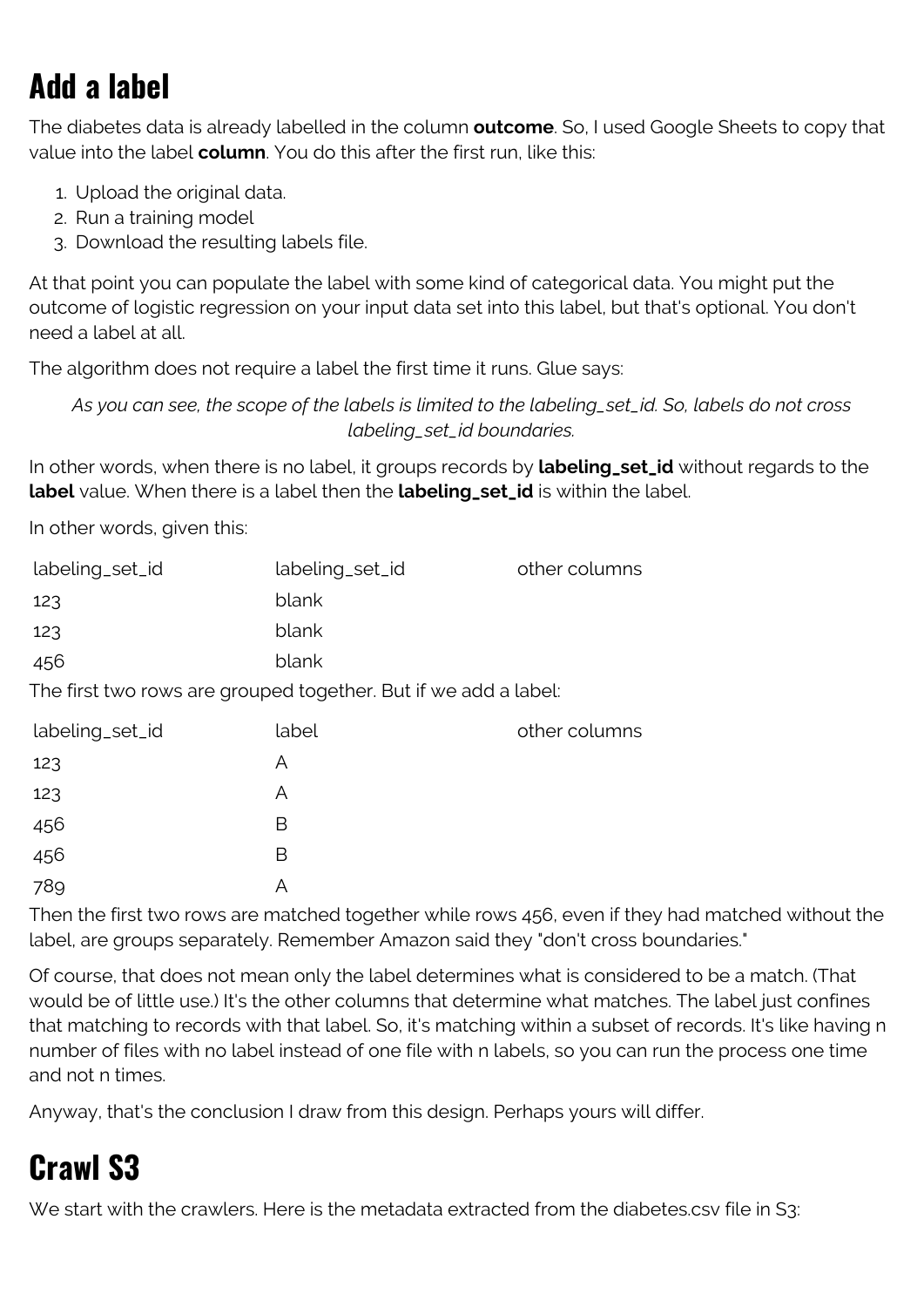# **Add a label**

The diabetes data is already labelled in the column **outcome**. So, I used Google Sheets to copy that value into the label **column**. You do this after the first run, like this:

- 1. Upload the original data.
- 2. Run a training model
- 3. Download the resulting labels file.

At that point you can populate the label with some kind of categorical data. You might put the outcome of logistic regression on your input data set into this label, but that's optional. You don't need a label at all.

The algorithm does not require a label the first time it runs. Glue says:

*As you can see, the scope of the labels is limited to the labeling\_set\_id. So, labels do not cross labeling\_set\_id boundaries.*

In other words, when there is no label, it groups records by **labeling\_set\_id** without regards to the **label** value. When there is a label then the **labeling\_set\_id** is within the label.

In other words, given this:

| labeling_set_id                                                 | labeling_set_id | other columns |
|-----------------------------------------------------------------|-----------------|---------------|
| 123                                                             | blank           |               |
| 123                                                             | blank           |               |
| 456                                                             | blank           |               |
| The first two rows are grouped together. But if we add a label: |                 |               |
| labeling_set_id                                                 | label           | other columns |
| 123                                                             | A               |               |
| 123                                                             | A               |               |
| 456                                                             | B               |               |
| 456                                                             | B               |               |
| 789                                                             | Α               |               |

Then the first two rows are matched together while rows 456, even if they had matched without the label, are groups separately. Remember Amazon said they "don't cross boundaries."

Of course, that does not mean only the label determines what is considered to be a match. (That would be of little use.) It's the other columns that determine what matches. The label just confines that matching to records with that label. So, it's matching within a subset of records. It's like having n number of files with no label instead of one file with n labels, so you can run the process one time and not n times.

Anyway, that's the conclusion I draw from this design. Perhaps yours will differ.

### **Crawl S3**

We start with the crawlers. Here is the metadata extracted from the diabetes.csv file in S3: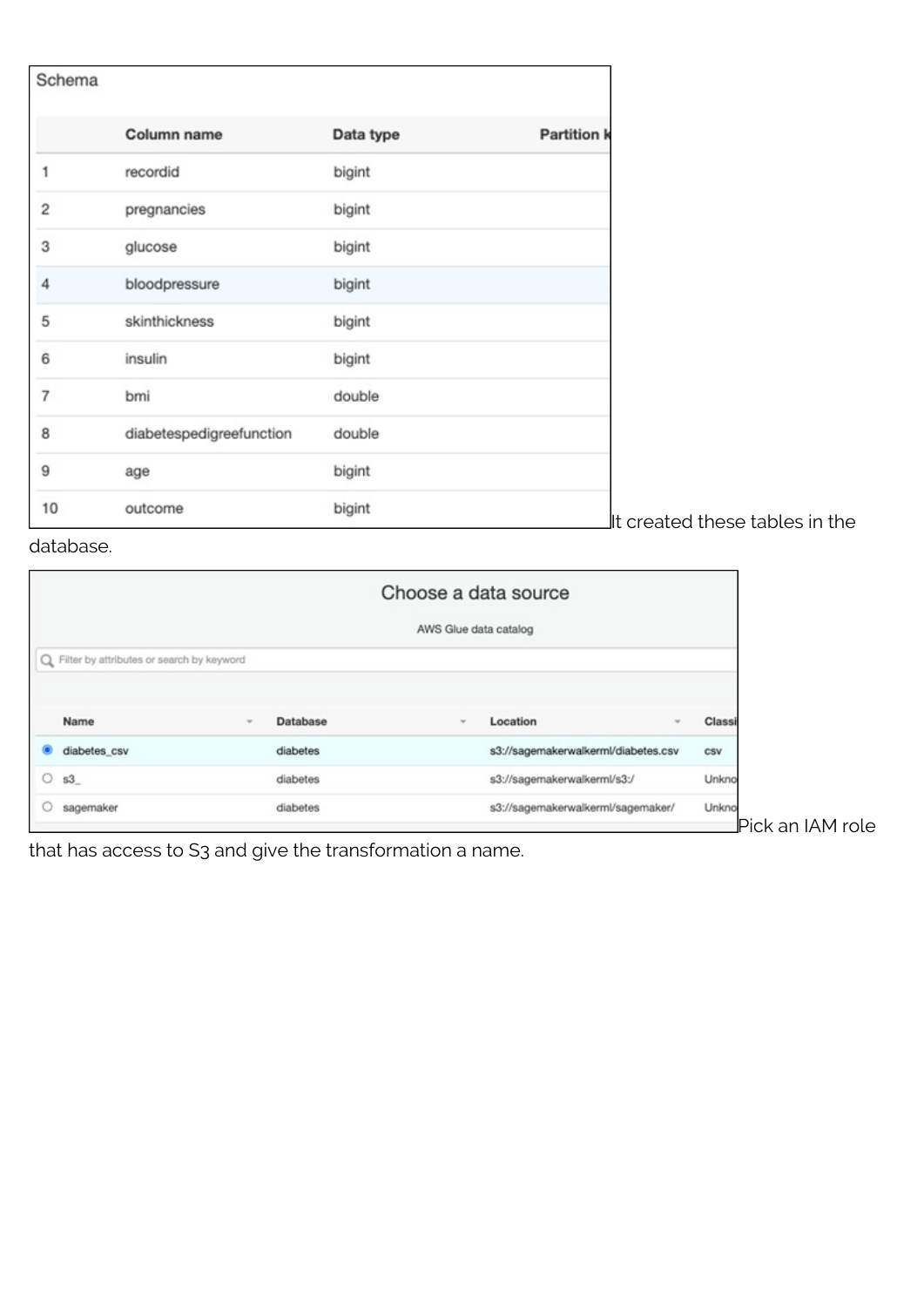| Schema         |                          |           |                                |
|----------------|--------------------------|-----------|--------------------------------|
|                | Column name              | Data type | <b>Partition k</b>             |
| 1              | recordid                 | bigint    |                                |
| 2              | pregnancies              | bigint    |                                |
| 3              | glucose                  | bigint    |                                |
| 4              | bloodpressure            | bigint    |                                |
| 5              | skinthickness            | bigint    |                                |
| 6              | insulin                  | bigint    |                                |
| $\overline{7}$ | bmi                      | double    |                                |
| 8              | diabetespedigreefunction | double    |                                |
| 9              | age                      | bigint    |                                |
| 10             | outcome                  | bigint    | It created these tables in the |

database.

|   |                                             |                          |          |                       | Choose a data source                |        |
|---|---------------------------------------------|--------------------------|----------|-----------------------|-------------------------------------|--------|
|   |                                             |                          |          | AWS Glue data catalog |                                     |        |
|   | Q Filter by attributes or search by keyword |                          |          |                       |                                     |        |
|   | Name                                        | $\overline{\phantom{a}}$ | Database | $\rightarrow$         | Location<br>$\rightarrow$           | Classi |
|   | diabetes_csv                                |                          | diabetes |                       | s3://sagemakerwalkerml/diabetes.csv | CSV    |
| О | S3                                          |                          | diabetes |                       | s3://sagemakerwalkerml/s3:/         | Unkno  |
|   |                                             |                          |          |                       |                                     | Unkno  |

that has access to S3 and give the transformation a name.

an IAM role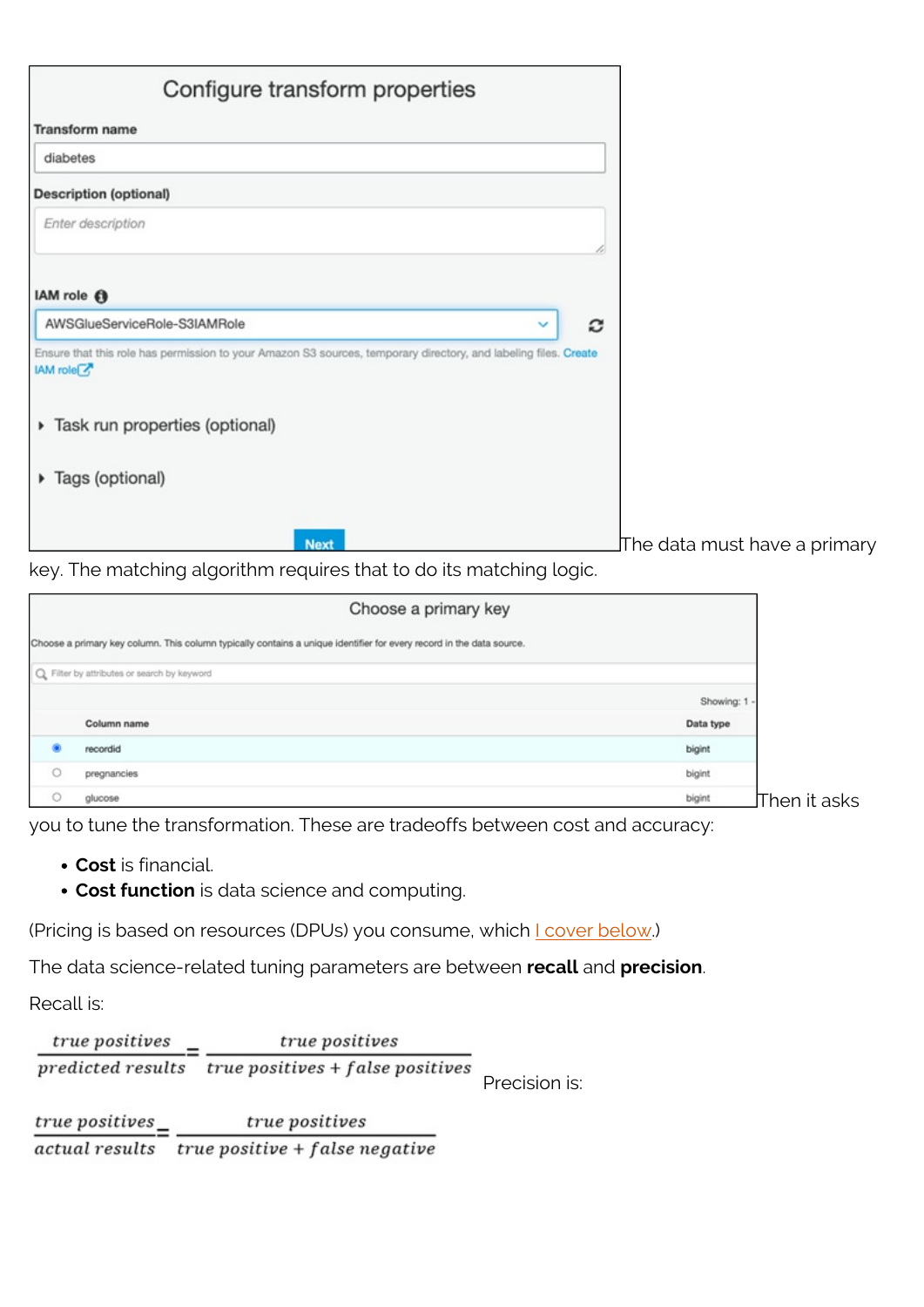| Configure transform properties                                                                                                                  |                               |
|-------------------------------------------------------------------------------------------------------------------------------------------------|-------------------------------|
| <b>Transform name</b>                                                                                                                           |                               |
| diabetes                                                                                                                                        |                               |
| <b>Description (optional)</b>                                                                                                                   |                               |
| Enter description                                                                                                                               |                               |
| IAM role <b>O</b>                                                                                                                               |                               |
| AWSGlueServiceRole-S3IAMRole<br>c<br>v                                                                                                          |                               |
| Ensure that this role has permission to your Amazon S3 sources, temporary directory, and labeling files. Create<br><b>IAM</b> role <sup>√</sup> |                               |
| > Task run properties (optional)                                                                                                                |                               |
| ▶ Tags (optional)                                                                                                                               |                               |
| <b>Next</b>                                                                                                                                     | lThe data must have a primary |

key. The matching algorithm requires that to do its matching logic.

|         | Choose a primary key                                                                                                 |                                                   |
|---------|----------------------------------------------------------------------------------------------------------------------|---------------------------------------------------|
|         | Choose a primary key column. This column typically contains a unique identifier for every record in the data source. |                                                   |
|         | Q Filter by attributes or search by keyword                                                                          |                                                   |
|         |                                                                                                                      | Showing: 1                                        |
|         | Column name                                                                                                          | Data type                                         |
| ۰       | recordid                                                                                                             | bigint                                            |
| $\circ$ | pregnancies                                                                                                          | bigint                                            |
| $\circ$ | glucose                                                                                                              | bigint<br>$\operatorname{\mathsf{JThen}}$ it asks |

you to tune the transformation. These are tradeoffs between cost and accuracy:

- **Cost** is financial.
- **Cost function** is data science and computing.

(Pricing is based on resources (DPUs) you consume, which *Loover below.*)

The data science-related tuning parameters are between **recall** and **precision**.

Recall is:

 $\frac{true\ positives}{predicted\ results} = \frac{true\ positives}{true\ positives + false\ positives}$ Precision is:

 $\frac{true}{i}$  positives  $\frac{true}{i}$  $\overline{actual\ results}$  true positive + false negative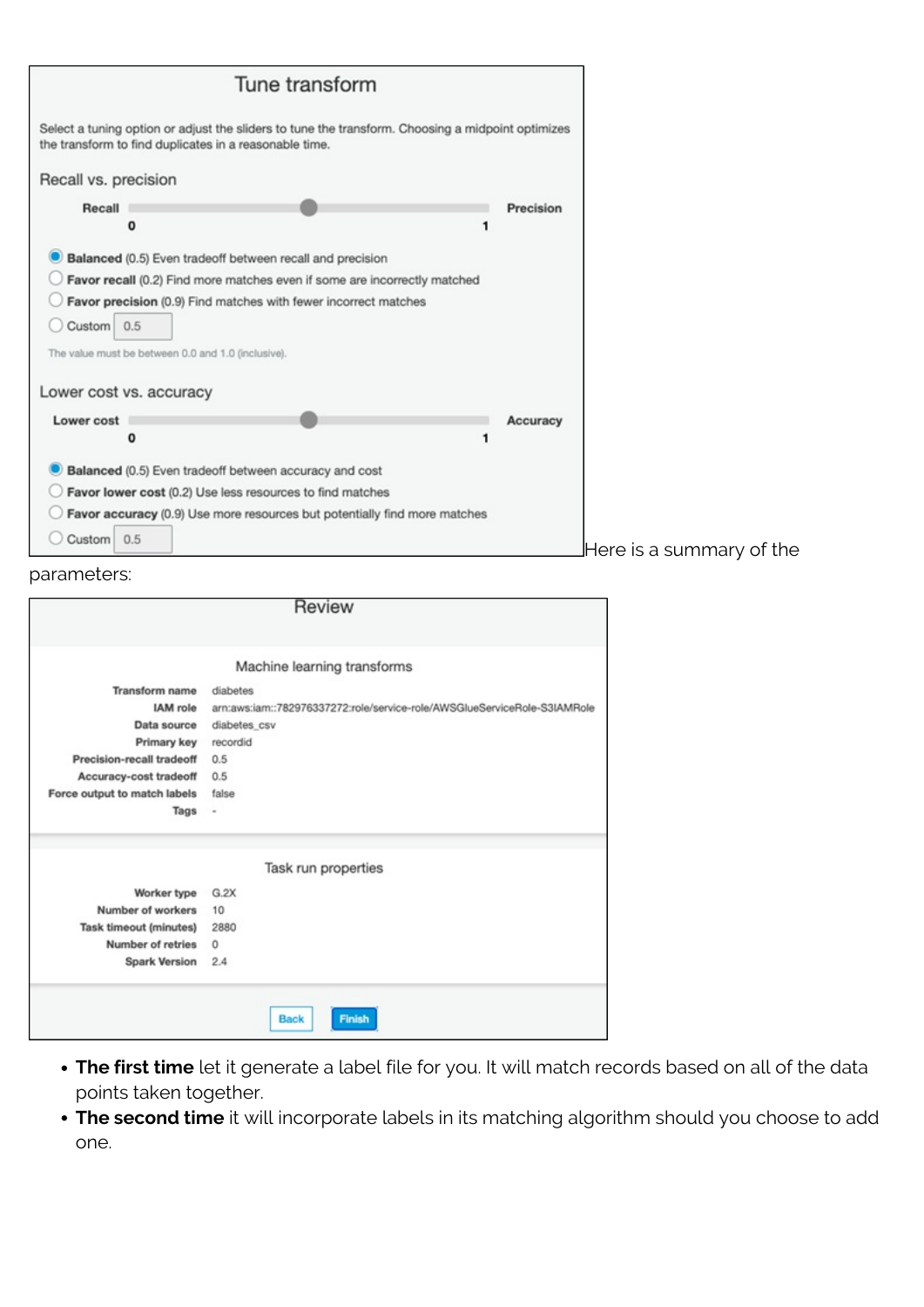

#### parameters:

|                               | Review                                                                   |
|-------------------------------|--------------------------------------------------------------------------|
|                               |                                                                          |
|                               | Machine learning transforms                                              |
| <b>Transform</b> name         | diabetes                                                                 |
| <b>IAM</b> role               | arn:aws:iam::782976337272:role/service-role/AWSGlueServiceRole-S3IAMRole |
| Data source                   | diabetes csv                                                             |
| Primary key                   | recordid                                                                 |
| Precision-recall tradeoff     | 0.5                                                                      |
| Accuracy-cost tradeoff        | 0.5                                                                      |
| Force output to match labels  | false                                                                    |
| Tags                          | $\overline{a}$                                                           |
|                               | Task run properties                                                      |
| Worker type                   | G.2X                                                                     |
| Number of workers             | 10                                                                       |
| <b>Task timeout (minutes)</b> | 2880                                                                     |
| Number of retries             | 0                                                                        |
| <b>Spark Version</b>          | 2.4                                                                      |
|                               | <b>Back</b><br><b>Finish</b>                                             |

- **The first time** let it generate a label file for you. It will match records based on all of the data points taken together.
- **The second time** it will incorporate labels in its matching algorithm should you choose to add one.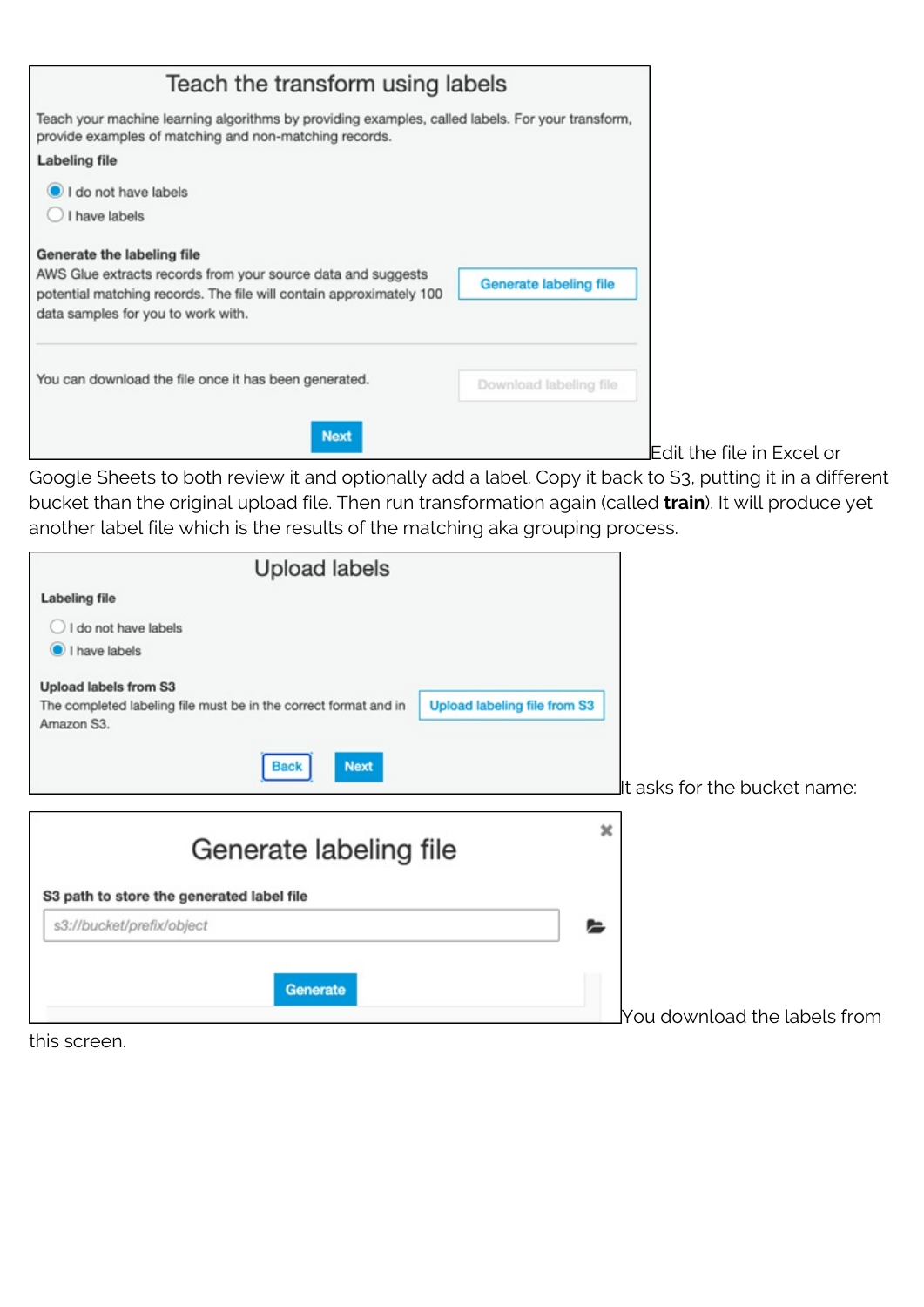| Teach the transform using labels                                                                                                                                                                        |                        |
|---------------------------------------------------------------------------------------------------------------------------------------------------------------------------------------------------------|------------------------|
| Teach your machine learning algorithms by providing examples, called labels. For your transform,<br>provide examples of matching and non-matching records.                                              |                        |
| Labeling file                                                                                                                                                                                           |                        |
| I do not have labels<br>I have labels                                                                                                                                                                   |                        |
| Generate the labeling file<br>AWS Glue extracts records from your source data and suggests<br>potential matching records. The file will contain approximately 100<br>data samples for you to work with. | Generate labeling file |
| You can download the file once it has been generated.                                                                                                                                                   | Download labeling file |
| <b>Next</b>                                                                                                                                                                                             |                        |

Edit the file in Excel or

Google Sheets to both review it and optionally add a label. Copy it back to S3, putting it in a different bucket than the original upload file. Then run transformation again (called **train**). It will produce yet another label file which is the results of the matching aka grouping process.

| <b>Upload labels</b>                                                           |                                                        |
|--------------------------------------------------------------------------------|--------------------------------------------------------|
| <b>Labeling file</b>                                                           |                                                        |
| I do not have labels                                                           |                                                        |
| I have labels                                                                  |                                                        |
| Upload labels from S3                                                          |                                                        |
| The completed labeling file must be in the correct format and in<br>Amazon S3. | Upload labeling file from S3                           |
| <b>Next</b><br>Back                                                            | It asks for the bucket name:                           |
| Generate labeling file                                                         | ×                                                      |
| S3 path to store the generated label file                                      |                                                        |
| s3://bucket/prefix/object                                                      | ⊫                                                      |
|                                                                                |                                                        |
| Generate                                                                       |                                                        |
|                                                                                | $\operatorname{\mathsf{You}}$ download the labels from |

this screen.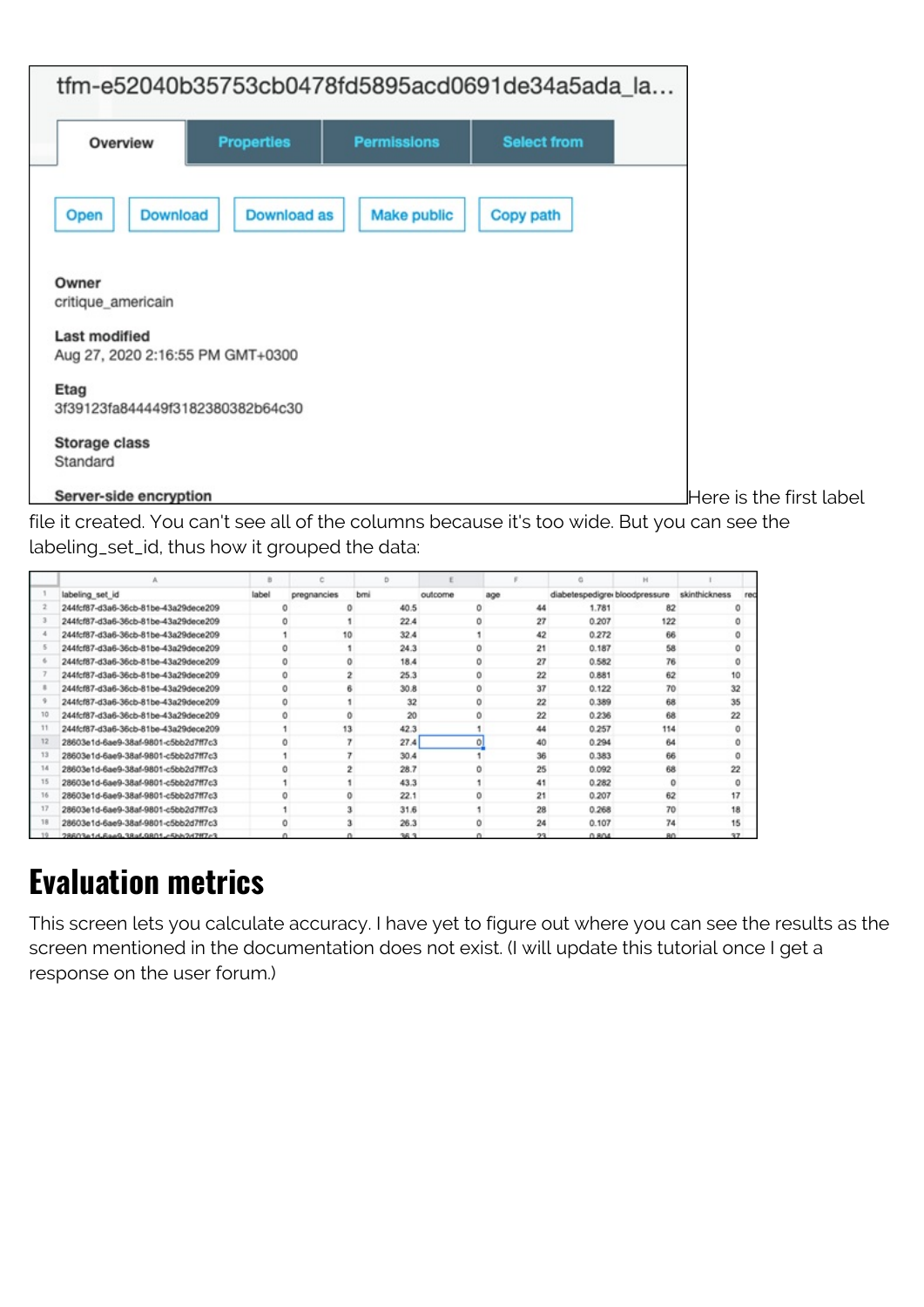

Here is the first label

file it created. You can't see all of the columns because it's too wide. But you can see the labeling\_set\_id, thus how it grouped the data:

|                                      | ×     |             | n.   |         |                | c                              | H               |               |     |
|--------------------------------------|-------|-------------|------|---------|----------------|--------------------------------|-----------------|---------------|-----|
| labeling set id                      | label | pregnancies | bmi  | outcome | age            | diabetespedigrei bloodpressure |                 | skinthickness | rec |
| 244fcf87-d3a6-36cb-81be-43a29dece209 |       |             | 40.5 | Ō       | 44             | 1.781                          | 82              |               |     |
| 244fcf87-d3a6-36cb-81be-43a29dece209 |       |             | 22.4 | Ö.      | 27             | 0.207                          | 122             |               |     |
| 244fcf87-d3a6-36cb-81be-43a29dece209 |       | 10          | 32.4 |         | 42             | 0.272                          | 66              |               |     |
| 244fcf87-d3a6-36cb-81be-43a29dece209 |       | o.          | 24.3 | ō       | 21             | 0.187                          | 58              | n             |     |
| 244fcf87-d3a6-36cb-81be-43a29dece209 |       | O.          | 18.4 | ō       | 27             | 0.582                          | 76              |               |     |
| 244fcf87-d3a6-36cb-81be-43a29dece209 |       | o           | 25.3 | ō       | 22             | 0.881                          | 62              | 10            |     |
| 244fcf87-d3a6-36cb-81be-43a29dece209 |       | Ō.          | 30.8 | Ō       | 37             | 0.122                          | 70              | 32            |     |
| 244fcf87-d3a6-36cb-81be-43a29dece209 |       | O.          | 32   | ō       | 22             | 0.389                          | 68              | 35            |     |
| 244fcf87-d3a6-36cb-81be-43a29dece209 |       | ō           | 20   | ō       | 22             | 0.236                          | 68              | 22            |     |
| 244fcf87-d3a6-36cb-81be-43a29dece209 |       | 13          | 42.3 |         | 44             | 0.257                          | 114             |               |     |
| 28603e1d-6ae9-38af-9801-c5bb2d7ff7c3 |       | ō           | 27.4 | ō       | 40             | 0.294                          | 64              | ō             |     |
| 28603e1d-6ae9-38af-9801-c5bb2d7ff7c3 |       |             | 30.4 |         | 36             | 0.383                          | 66              |               |     |
| 28603e1d-6ae9-38af-9801-c5bb2d7ff7c3 |       | 0           | 28.7 | Ö       | 25             | 0.092                          | 68              | 22            |     |
| 28603e1d-6ae9-38af-9801-c5bb2d7ff7c3 |       |             | 43.3 |         | 41             | 0.282                          | $\Omega$        |               |     |
| 28603e1d-6ae9-38af-9801-c5bb2d7ff7c3 |       | ٥           | 22.1 | Ō       | 21             | 0.207                          | 62              | 17            |     |
| 28603e1d-6ae9-38af-9801-c5bb2d7ff7c3 |       |             | 31.6 |         | 28             | 0.268                          | 70              | 18            |     |
| 28603e1d-6ae9-38af-9801-c5bb2d7ff7c3 |       |             | 26.3 | ň       | 24             | 0.107                          | 74              | 15            |     |
| 28603a1d-6aa9-38a69801-5hh2d7ff7r3   |       |             | 38.3 | n       | 2 <sup>2</sup> | 0.804                          | 80 <sub>1</sub> | 27            |     |

#### **Evaluation metrics**

This screen lets you calculate accuracy. I have yet to figure out where you can see the results as the screen mentioned in the documentation does not exist. (I will update this tutorial once I get a response on the user forum.)